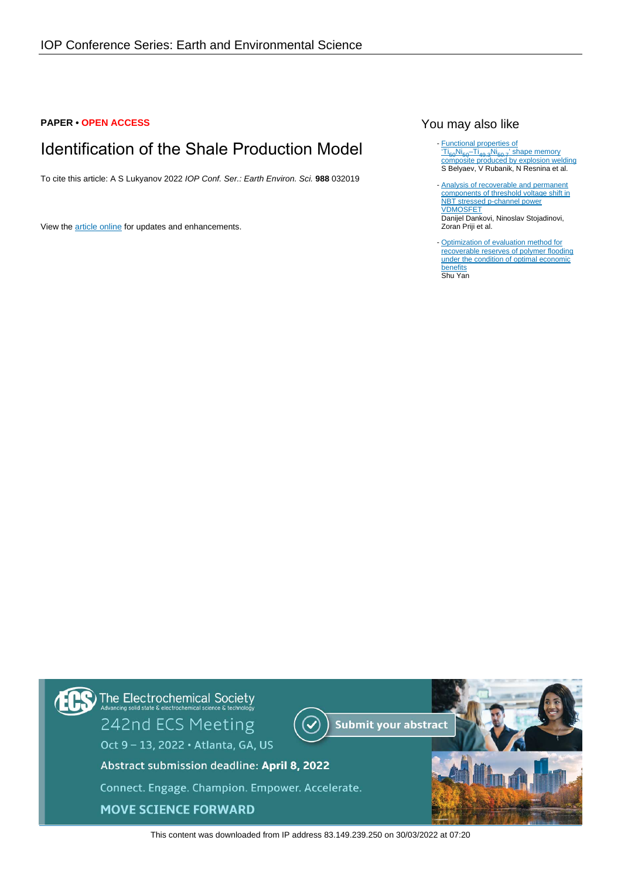# **PAPER • OPEN ACCESS**

# Identification of the Shale Production Model

To cite this article: A S Lukyanov 2022 IOP Conf. Ser.: Earth Environ. Sci. **988** 032019

View the [article online](https://doi.org/10.1088/1755-1315/988/3/032019) for updates and enhancements.

# You may also like

- **[Functional properties of](https://iopscience.iop.org/article/10.1088/0964-1726/23/8/085029)** <u>['Ti](https://iopscience.iop.org/article/10.1088/0964-1726/23/8/085029)<sub>50</sub>[Ni](https://iopscience.iop.org/article/10.1088/0964-1726/23/8/085029)<sub>50</sub>[–Ti](https://iopscience.iop.org/article/10.1088/0964-1726/23/8/085029)<sub>49.3</sub>Ni<sub>50.7</sub>[' shape memory](https://iopscience.iop.org/article/10.1088/0964-1726/23/8/085029)</u><br>[composite produced by explosion welding](https://iopscience.iop.org/article/10.1088/0964-1726/23/8/085029) S Belyaev, V Rubanik, N Resnina et al.

- **[Analysis of recoverable and permanent](https://iopscience.iop.org/article/10.1088/1674-1056/24/10/106601)** [components of threshold voltage shift in](https://iopscience.iop.org/article/10.1088/1674-1056/24/10/106601) [NBT stressed p-channel power](https://iopscience.iop.org/article/10.1088/1674-1056/24/10/106601) [VDMOSFET](https://iopscience.iop.org/article/10.1088/1674-1056/24/10/106601) Danijel Dankovi, Ninoslav Stojadinovi, Zoran Priji et al.

- [Optimization of evaluation method for](https://iopscience.iop.org/article/10.1088/1755-1315/440/5/052003) [recoverable reserves of polymer flooding](https://iopscience.iop.org/article/10.1088/1755-1315/440/5/052003) [under the condition of optimal economic](https://iopscience.iop.org/article/10.1088/1755-1315/440/5/052003) **[benefits](https://iopscience.iop.org/article/10.1088/1755-1315/440/5/052003)** Shu Yan

The Electrochemical Society<br>Advancing solid state & electrochemical science & technology 242nd ECS Meeting **Submit your abstract** Oct 9 - 13, 2022 · Atlanta, GA, US Abstract submission deadline: April 8, 2022 Connect. Engage. Champion. Empower. Accelerate. **MOVE SCIENCE FORWARD** 

This content was downloaded from IP address 83.149.239.250 on 30/03/2022 at 07:20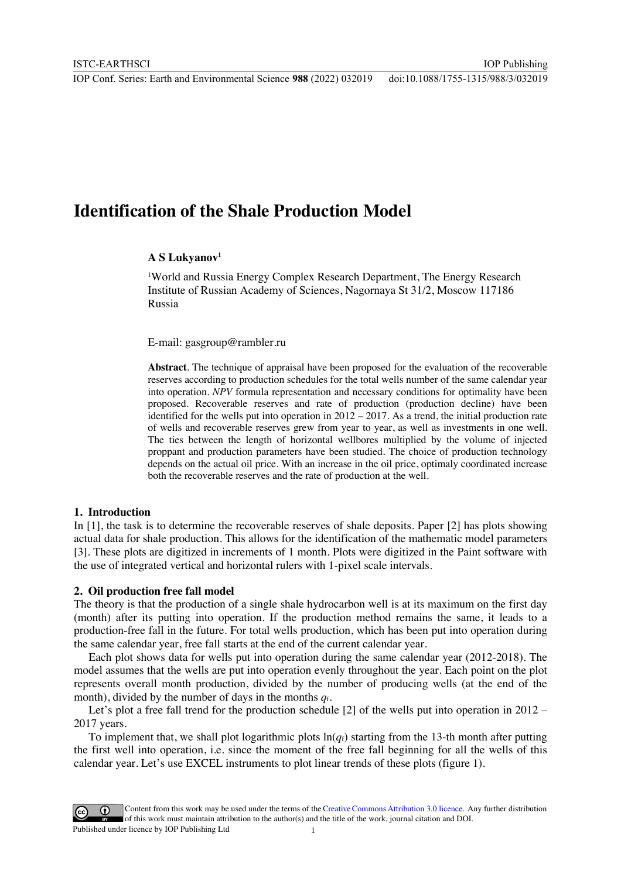# **Identification of the Shale Production Model**

## **A S Lukyanov1**

<sup>1</sup>World and Russia Energy Complex Research Department, The Energy Research Institute of Russian Academy of Sciences, Nagornaya St 31/2, Moscow 117186 Russia

E-mail: gasgroup@rambler.ru

**Abstract**. The technique of appraisal have been proposed for the evaluation of the recoverable reserves according to production schedules for the total wells number of the same calendar year into operation. *NPV* formula representation and necessary conditions for optimality have been proposed. Recoverable reserves and rate of production (production decline) have been identified for the wells put into operation in  $2012 - 2017$ . As a trend, the initial production rate of wells and recoverable reserves grew from year to year, as well as investments in one well. The ties between the length of horizontal wellbores multiplied by the volume of injected proppant and production parameters have been studied. The choice of production technology depends on the actual oil price. With an increase in the oil price, optimaly coordinated increase both the recoverable reserves and the rate of production at the well.

### **1. Introduction**

In [1], the task is to determine the recoverable reserves of shale deposits. Paper [2] has plots showing actual data for shale production. This allows for the identification of the mathematic model parameters [3]. These plots are digitized in increments of 1 month. Plots were digitized in the Paint software with the use of integrated vertical and horizontal rulers with 1-pixel scale intervals.

# **2. Oil production free fall model**

The theory is that the production of a single shale hydrocarbon well is at its maximum on the first day (month) after its putting into operation. If the production method remains the same, it leads to a production-free fall in the future. For total wells production, which has been put into operation during the same calendar year, free fall starts at the end of the current calendar year.

Each plot shows data for wells put into operation during the same calendar year (2012-2018). The model assumes that the wells are put into operation evenly throughout the year. Each point on the plot represents overall month production, divided by the number of producing wells (at the end of the month), divided by the number of days in the months *q*f.

Let's plot a free fall trend for the production schedule [2] of the wells put into operation in 2012 – 2017 years.

To implement that, we shall plot logarithmic plots  $\ln(q_f)$  starting from the 13-th month after putting the first well into operation, i.e. since the moment of the free fall beginning for all the wells of this calendar year. Let's use EXCEL instruments to plot linear trends of these plots (figure 1).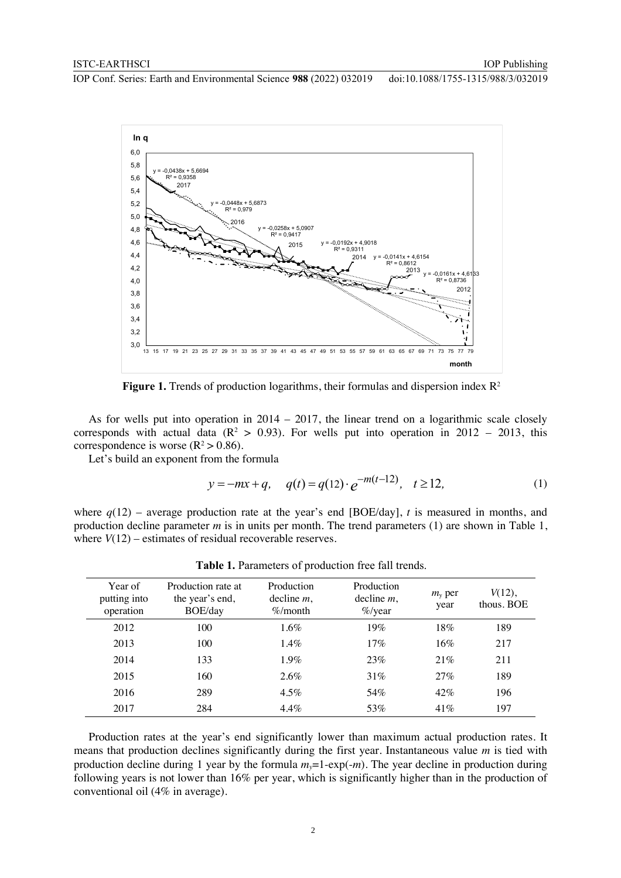

**Figure 1.** Trends of production logarithms, their formulas and dispersion index  $\mathbb{R}^2$ 

As for wells put into operation in 2014 – 2017, the linear trend on a logarithmic scale closely corresponds with actual data  $(R^2 > 0.93)$ . For wells put into operation in 2012 – 2013, this correspondence is worse  $(R^2 > 0.86)$ .

Let's build an exponent from the formula

$$
y = -mx + q
$$
,  $q(t) = q(12) \cdot e^{-m(t-12)}$ ,  $t \ge 12$ , (1)

where  $q(12)$  – average production rate at the year's end [BOE/day], *t* is measured in months, and production decline parameter *m* is in units per month. The trend parameters (1) are shown in Table 1, where  $V(12)$  – estimates of residual recoverable reserves.

| Year of<br>putting into<br>operation | Production rate at<br>the year's end,<br>BOE/day | Production<br>decline $m$ ,<br>$\%$ /month | Production<br>decline $m$ ,<br>$\%$ /year | $m_v$ per<br>year | V(12),<br>thous. BOE |
|--------------------------------------|--------------------------------------------------|--------------------------------------------|-------------------------------------------|-------------------|----------------------|
| 2012                                 | 100                                              | $1.6\%$                                    | 19%                                       | 18%               | 189                  |
| 2013                                 | 100                                              | $1.4\%$                                    | $17\%$                                    | 16%               | 217                  |
| 2014                                 | 133                                              | 1.9%                                       | 23%                                       | 21%               | 211                  |
| 2015                                 | 160                                              | 2.6%                                       | 31%                                       | 27%               | 189                  |
| 2016                                 | 289                                              | $4.5\%$                                    | 54%                                       | 42%               | 196                  |
| 2017                                 | 284                                              | $4.4\%$                                    | 53%                                       | 41%               | 197                  |
|                                      |                                                  |                                            |                                           |                   |                      |

**Table 1.** Parameters of production free fall trends.

Production rates at the year's end significantly lower than maximum actual production rates. It means that production declines significantly during the first year. Instantaneous value *m* is tied with production decline during 1 year by the formula *my*=1-exp(-*m*). The year decline in production during following years is not lower than 16% per year, which is significantly higher than in the production of conventional oil (4% in average).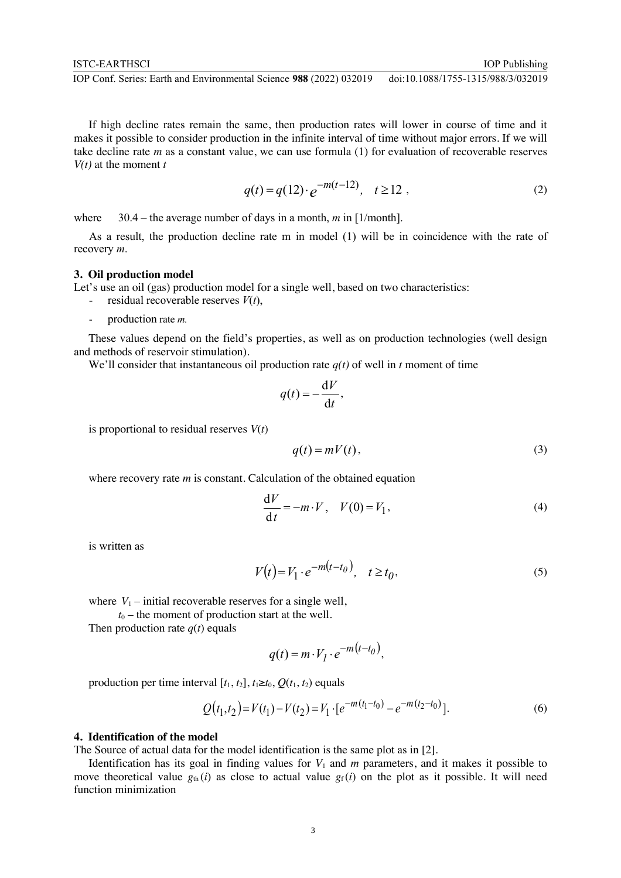If high decline rates remain the same, then production rates will lower in course of time and it makes it possible to consider production in the infinite interval of time without major errors. If we will take decline rate *m* as a constant value, we can use formula (1) for evaluation of recoverable reserves *V(t)* at the moment *t*

$$
q(t) = q(12) \cdot e^{-m(t-12)}, \quad t \ge 12 \tag{2}
$$

where  $30.4$  – the average number of days in a month, *m* in [1/month].

As a result, the production decline rate m in model (1) will be in coincidence with the rate of recovery *m*.

### **3. Oil production model**

Let's use an oil (gas) production model for a single well, based on two characteristics:

- residual recoverable reserves  $V(t)$ ,
- production rate *m.*

These values depend on the field's properties, as well as on production technologies (well design and methods of reservoir stimulation).

We'll consider that instantaneous oil production rate *q(t)* of well in *t* moment of time

$$
q(t) = -\frac{\mathrm{d}V}{\mathrm{d}t},
$$

is proportional to residual reserves *V*(*t*)

$$
q(t) = mV(t),
$$
\n(3)

where recovery rate *m* is constant. Calculation of the obtained equation

$$
\frac{\mathrm{d}V}{\mathrm{d}t} = -m \cdot V, \quad V(0) = V_1,\tag{4}
$$

is written as

$$
V(t) = V_1 \cdot e^{-m(t - t_0)}, \quad t \ge t_0,
$$
\n(5)

where  $V_1$  – initial recoverable reserves for a single well,

 $t_0$  – the moment of production start at the well.

Then production rate  $q(t)$  equals

$$
q(t) = m \cdot V_1 \cdot e^{-m(t-t_0)},
$$

production per time interval  $[t_1, t_2]$ ,  $t_1 \ge t_0$ ,  $Q(t_1, t_2)$  equals

$$
Q(t_1, t_2) = V(t_1) - V(t_2) = V_1 \cdot [e^{-m(t_1 - t_0)} - e^{-m(t_2 - t_0)}].
$$
\n(6)

## **4. Identification of the model**

The Source of actual data for the model identification is the same plot as in [2].

Identification has its goal in finding values for  $V_1$  and *m* parameters, and it makes it possible to move theoretical value  $g_{th}(i)$  as close to actual value  $g_f(i)$  on the plot as it possible. It will need function minimization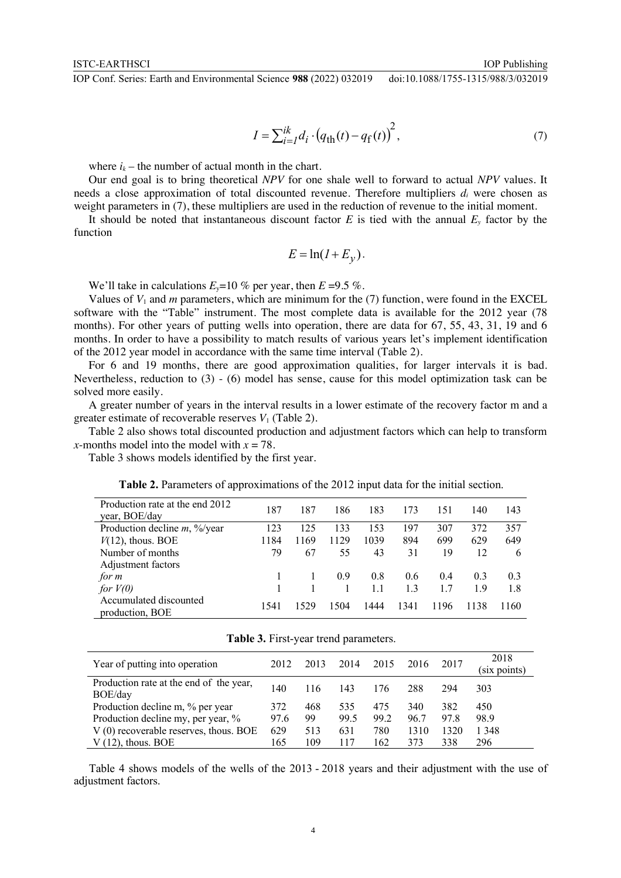$$
I = \sum_{i=1}^{ik} d_i \cdot (q_{\text{th}}(t) - q_{\text{f}}(t))^2, \tag{7}
$$

where  $i_k$  – the number of actual month in the chart.

Our end goal is to bring theoretical *NPV* for one shale well to forward to actual *NPV* values. It needs a close approximation of total discounted revenue. Therefore multipliers *di* were chosen as weight parameters in (7), these multipliers are used in the reduction of revenue to the initial moment.

It should be noted that instantaneous discount factor  $E$  is tied with the annual  $E<sub>y</sub>$  factor by the function

$$
E = \ln(I + E_y).
$$

We'll take in calculations  $E_y=10\%$  per year, then  $E=9.5\%$ .

Values of  $V_1$  and  $m$  parameters, which are minimum for the  $(7)$  function, were found in the EXCEL software with the "Table" instrument. The most complete data is available for the 2012 year (78 months). For other years of putting wells into operation, there are data for 67, 55, 43, 31, 19 and 6 months. In order to have a possibility to match results of various years let's implement identification of the 2012 year model in accordance with the same time interval (Table 2).

For 6 and 19 months, there are good approximation qualities, for larger intervals it is bad. Nevertheless, reduction to (3) - (6) model has sense, cause for this model optimization task can be solved more easily.

A greater number of years in the interval results in a lower estimate of the recovery factor m and a greater estimate of recoverable reserves  $V_1$  (Table 2).

Table 2 also shows total discounted production and adjustment factors which can help to transform *x*-months model into the model with *x* = 78.

Table 3 shows models identified by the first year.

| Production rate at the end 2012 |      |      |      |      |      |      |      |      |
|---------------------------------|------|------|------|------|------|------|------|------|
| year, BOE/day                   | 187  | 187  | 186  | 183  | 173  | 151  | 140  | 143  |
| Production decline $m$ , %/year | 123  | 125  | 133  | 153  | 197  | 307  | 372  | 357  |
| $V(12)$ , thous. BOE            | 1184 | 1169 | 1129 | 1039 | 894  | 699  | 629  | 649  |
| Number of months                | 79   | 67   | 55   | 43   | 31   | 19   | 12   | 6    |
| Adjustment factors              |      |      |      |      |      |      |      |      |
| for m                           |      |      | 0.9  | 0.8  | 0.6  | 0.4  | 0.3  | 0.3  |
| for $V(0)$                      |      |      |      | 1.1  | 1.3  | 1.7  | 19   | 1.8  |
| Accumulated discounted          | 1541 | 1529 | 1504 | 1444 | 1341 | 1196 | 1138 | 1160 |
| production, BOE                 |      |      |      |      |      |      |      |      |

**Table 2.** Parameters of approximations of the 2012 input data for the initial section.

|  |  |  | Table 3. First-year trend parameters. |
|--|--|--|---------------------------------------|
|--|--|--|---------------------------------------|

| Year of putting into operation                     | 2012 | 2013 | 2014 | 2015 | 2016 | 2017 | 2018<br>(six points) |
|----------------------------------------------------|------|------|------|------|------|------|----------------------|
| Production rate at the end of the year,<br>BOE/day | 140  | 116  | 143  | 176  | 288  | 294  | 303                  |
| Production decline m, % per year                   | 372  | 468  | 535  | 475  | 340  | 382  | 450                  |
| Production decline my, per year, %                 | 97.6 | 99   | 99.5 | 99.2 | 96.7 | 97.8 | 98.9                 |
| V (0) recoverable reserves, thous. BOE             | 629  | 513  | 631  | 780  | 1310 | 1320 | 1 3 4 8              |
| $V(12)$ , thous. BOE                               | 165  | 109  | 117  | 162  | 373  | 338  | 296                  |

Table 4 shows models of the wells of the 2013 - 2018 years and their adjustment with the use of adjustment factors.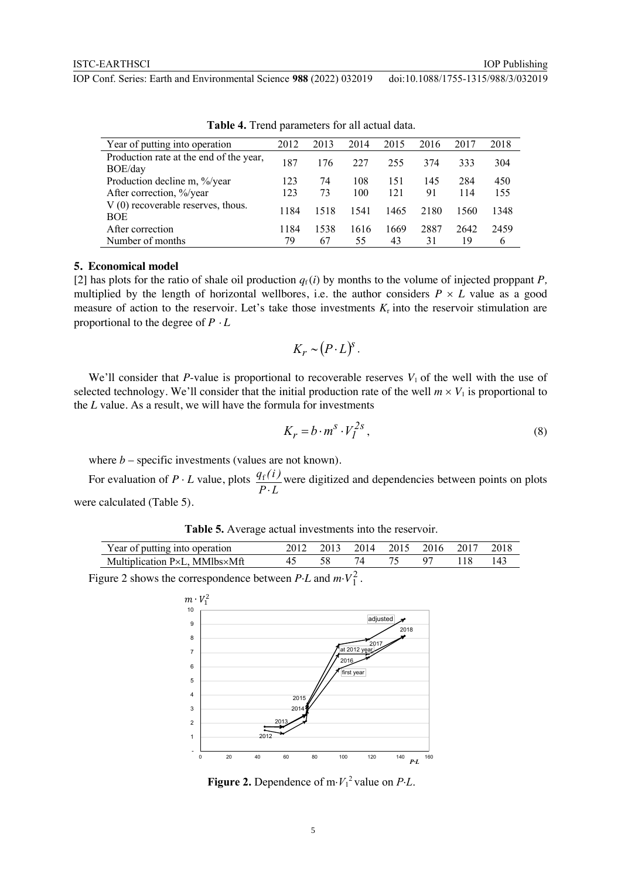| Year of putting into operation          | 2012 | 2013 | 2014 | 2015 | 2016 | 2017 | 2018 |
|-----------------------------------------|------|------|------|------|------|------|------|
| Production rate at the end of the year, | 187  | 176  | 227  | 255  | 374  | 333  | 304  |
| BOE/day                                 |      |      |      |      |      |      |      |
| Production decline m, %/year            | 123  | 74   | 108  | 151  | 145  | 284  | 450  |
| After correction, %/year                | 123  | 73   | 100  | 121  | 91   | 114  | 155  |
| $V(0)$ recoverable reserves, thous.     | 1184 | 1518 | 1541 | 1465 | 2180 | 1560 | 1348 |
| <b>BOE</b>                              |      |      |      |      |      |      |      |
| After correction                        | 1184 | 1538 | 1616 | 1669 | 2887 | 2642 | 2459 |
| Number of months                        | 79   | 67   | 55   | 43   | 31   | 19   | 6    |

**Table 4.** Trend parameters for all actual data.

### **5. Economical model**

[2] has plots for the ratio of shale oil production  $q_f(i)$  by months to the volume of injected proppant *P*, multiplied by the length of horizontal wellbores, i.e. the author considers  $P \times L$  value as a good measure of action to the reservoir. Let's take those investments  $K_r$  into the reservoir stimulation are proportional to the degree of  $P \cdot L$ 

$$
K_r \sim (P \cdot L)^s.
$$

We'll consider that *P*-value is proportional to recoverable reserves  $V_1$  of the well with the use of selected technology. We'll consider that the initial production rate of the well  $m \times V_1$  is proportional to the *L* value. As a result, we will have the formula for investments

$$
K_r = b \cdot m^s \cdot V_I^{2s} \,,\tag{8}
$$

where  $b$  – specific investments (values are not known).

For evaluation of  $P \cdot L$  value, plots  $\frac{q_f(t)}{L}$  were digitized and dependencies between points on plots were calculated (Table 5).  $P \cdot L$  $q_f(i)$ × f

|  |  | Table 5. Average actual investments into the reservoir. |  |  |
|--|--|---------------------------------------------------------|--|--|
|  |  |                                                         |  |  |

| Year of putting into operation                   |  |  | 2012 2013 2014 2015 2016 2017 2018 |  |
|--------------------------------------------------|--|--|------------------------------------|--|
| Multiplication $P \times L$ . MMlbs $\times$ Mft |  |  |                                    |  |

Figure 2 shows the correspondence between  $P \cdot L$  and  $m \cdot V_1^2$ .



**Figure 2.** Dependence of m $\cdot V_1^2$  value on *P* $\cdot L$ .